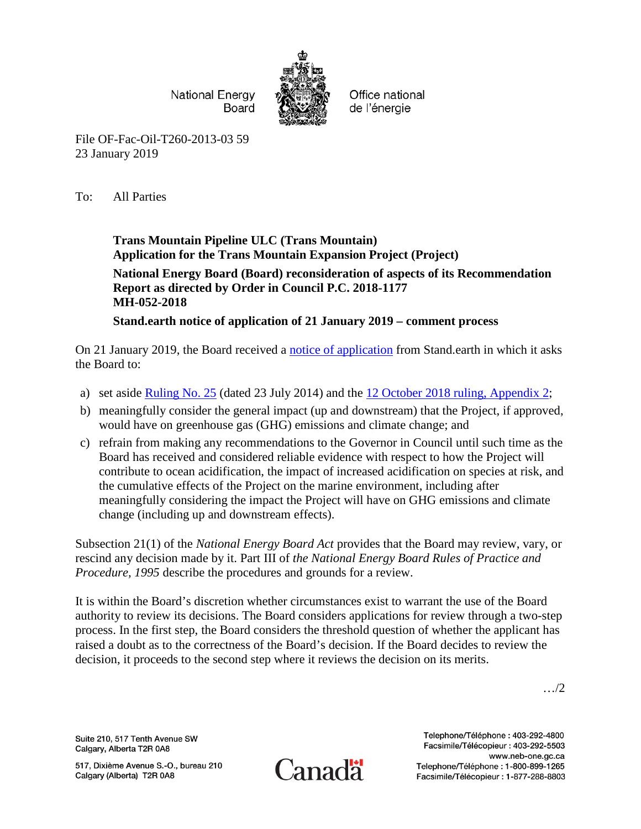**National Energy** Board



Office national de l'énergie

File OF-Fac-Oil-T260-2013-03 59 23 January 2019

To: All Parties

## **Trans Mountain Pipeline ULC (Trans Mountain) Application for the Trans Mountain Expansion Project (Project)**

## **National Energy Board (Board) reconsideration of aspects of its Recommendation Report as directed by Order in Council P.C. 2018-1177 MH-052-2018**

**Stand.earth notice of application of 21 January 2019 – comment process**

On 21 January 2019, the Board received a [notice of application](https://apps.neb-one.gc.ca/REGDOCS/Item/Filing/A97459) from Stand.earth in which it asks the Board to:

- a) set aside **Ruling No. 25** (dated 23 July 2014) and the [12 October 2018 ruling, Appendix 2;](https://apps.neb-one.gc.ca/REGDOCS/Item/View/3620050)
- b) meaningfully consider the general impact (up and downstream) that the Project, if approved, would have on greenhouse gas (GHG) emissions and climate change; and
- c) refrain from making any recommendations to the Governor in Council until such time as the Board has received and considered reliable evidence with respect to how the Project will contribute to ocean acidification, the impact of increased acidification on species at risk, and the cumulative effects of the Project on the marine environment, including after meaningfully considering the impact the Project will have on GHG emissions and climate change (including up and downstream effects).

Subsection 21(1) of the *National Energy Board Act* provides that the Board may review, vary, or rescind any decision made by it. Part III of *the National Energy Board Rules of Practice and Procedure, 1995* describe the procedures and grounds for a review.

It is within the Board's discretion whether circumstances exist to warrant the use of the Board authority to review its decisions. The Board considers applications for review through a two-step process. In the first step, the Board considers the threshold question of whether the applicant has raised a doubt as to the correctness of the Board's decision. If the Board decides to review the decision, it proceeds to the second step where it reviews the decision on its merits.

…/2

Suite 210, 517 Tenth Avenue SW Calgary, Alberta T2R 0A8

517, Dixième Avenue S.-O., bureau 210 Calgary (Alberta) T2R 0A8



Telephone/Téléphone: 403-292-4800 Facsimile/Télécopieur: 403-292-5503 www.neb-one.gc.ca Telephone/Téléphone: 1-800-899-1265 Facsimile/Télécopieur: 1-877-288-8803